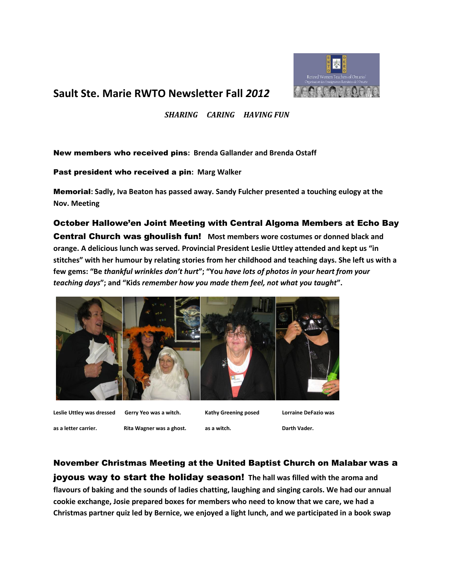

# **Sault Ste. Marie RWTO Newsletter Fall** *2012*

*SHARING CARING HAVING FUN*

New members who received pins**: Brenda Gallander and Brenda Ostaff**

Past president who received a pin**: Marg Walker**

Memorial**: Sadly, Iva Beaton has passed away. Sandy Fulcher presented a touching eulogy at the Nov. Meeting**

October Hallowe'en Joint Meeting with Central Algoma Members at Echo Bay

Central Church was ghoulish fun! **Most members wore costumes or donned black and orange. A delicious lunch was served. Provincial President Leslie Uttley attended and kept us "in stitches" with her humour by relating stories from her childhood and teaching days. She left us with a few gems: "Be** *thankful wrinkles don't hurt***"; "You** *have lots of photos in your heart from your teaching days***"; and "Kids** *remember how you made them feel, not what you taught***".** 



**Leslie Uttley was dressed Gerry Yeo was a witch. Kathy Greening posed Lorraine DeFazio was**

as a letter carrier. **Rita Wagner was a ghost.** as a witch. **Darth** Vader.

November Christmas Meeting at the United Baptist Church on Malabar was a joyous way to start the holiday season! **The hall was filled with the aroma and flavours of baking and the sounds of ladies chatting, laughing and singing carols. We had our annual cookie exchange, Josie prepared boxes for members who need to know that we care, we had a Christmas partner quiz led by Bernice, we enjoyed a light lunch, and we participated in a book swap**